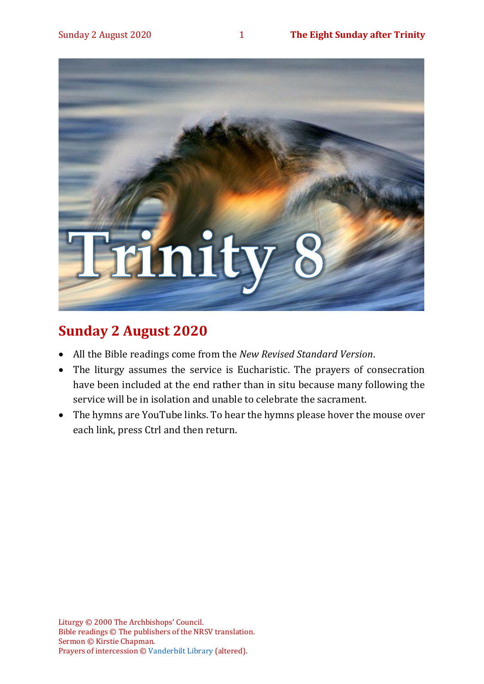

# **Sunday 2 August 2020**

- All the Bible readings come from the *New Revised Standard Version*.
- The liturgy assumes the service is Eucharistic. The prayers of consecration have been included at the end rather than in situ because many following the service will be in isolation and unable to celebrate the sacrament.
- The hymns are YouTube links. To hear the hymns please hover the mouse over each link, press Ctrl and then return.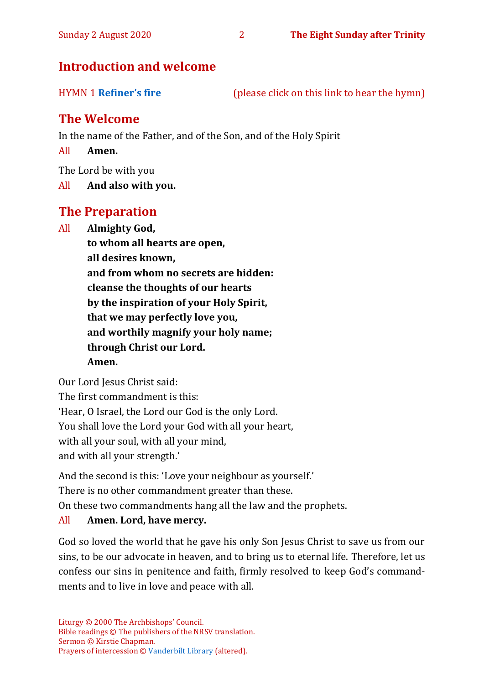# **Introduction and welcome**

HYMN 1 **[Refiner's fire](https://www.youtube.com/watch?v=0IvXA0yRDwY)** (please click on this link to hear the hymn)

# **The Welcome**

In the name of the Father, and of the Son, and of the Holy Spirit

All **Amen.**

The Lord be with you

All **And also with you.**

# **The Preparation**

All **Almighty God,**

**to whom all hearts are open, all desires known, and from whom no secrets are hidden: cleanse the thoughts of our hearts by the inspiration of your Holy Spirit, that we may perfectly love you, and worthily magnify your holy name; through Christ our Lord. Amen.**

Our Lord Jesus Christ said:

The first commandment is this: 'Hear, O Israel, the Lord our God is the only Lord. You shall love the Lord your God with all your heart, with all your soul, with all your mind, and with all your strength.'

And the second is this: 'Love your neighbour as yourself.'

There is no other commandment greater than these.

On these two commandments hang all the law and the prophets.

### All **Amen. Lord, have mercy.**

God so loved the world that he gave his only Son Jesus Christ to save us from our sins, to be our advocate in heaven, and to bring us to eternal life. Therefore, let us confess our sins in penitence and faith, firmly resolved to keep God's commandments and to live in love and peace with all.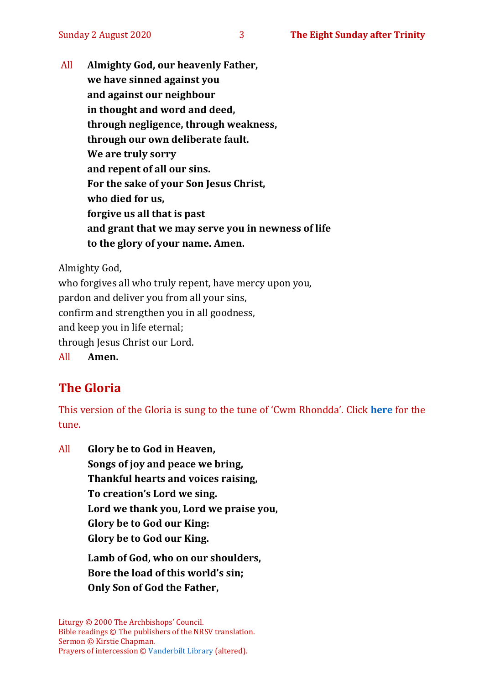All **Almighty God, our heavenly Father, we have sinned against you and against our neighbour in thought and word and deed, through negligence, through weakness, through our own deliberate fault. We are truly sorry and repent of all our sins. For the sake of your Son Jesus Christ, who died for us, forgive us all that is past and grant that we may serve you in newness of life to the glory of your name. Amen.**

Almighty God,

who forgives all who truly repent, have mercy upon you, pardon and deliver you from all your sins, confirm and strengthen you in all goodness, and keep you in life eternal; through Jesus Christ our Lord. All **Amen.**

# **The Gloria**

This version of the Gloria is sung to the tune of 'Cwm Rhondda'. Click **[here](about:blank)** for the tune.

All **Glory be to God in Heaven, Songs of joy and peace we bring, Thankful hearts and voices raising, To creation's Lord we sing. Lord we thank you, Lord we praise you, Glory be to God our King: Glory be to God our King. Lamb of God, who on our shoulders, Bore the load of this world's sin; Only Son of God the Father,**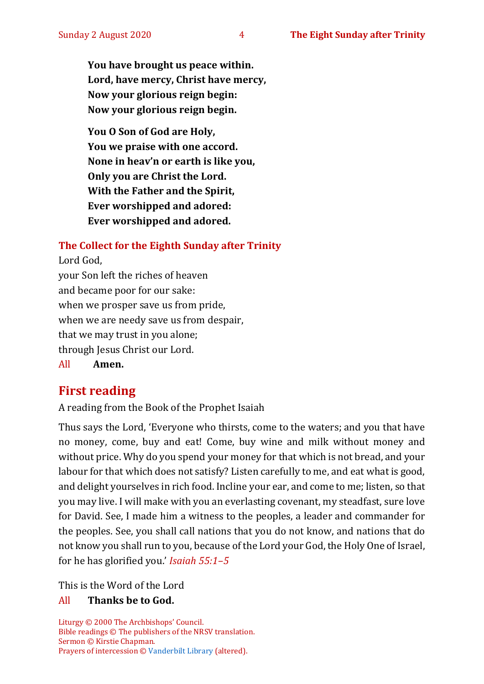**You have brought us peace within. Lord, have mercy, Christ have mercy, Now your glorious reign begin: Now your glorious reign begin.**

**You O Son of God are Holy, You we praise with one accord. None in heav'n or earth is like you, Only you are Christ the Lord. With the Father and the Spirit, Ever worshipped and adored: Ever worshipped and adored.**

#### **The Collect for the Eighth Sunday after Trinity**

Lord God, your Son left the riches of heaven and became poor for our sake: when we prosper save us from pride, when we are needy save us from despair, that we may trust in you alone; through Jesus Christ our Lord. All **Amen.**

# **First reading**

A reading from the Book of the Prophet Isaiah

Thus says the Lord, 'Everyone who thirsts, come to the waters; and you that have no money, come, buy and eat! Come, buy wine and milk without money and without price. Why do you spend your money for that which is not bread, and your labour for that which does not satisfy? Listen carefully to me, and eat what is good, and delight yourselves in rich food. Incline your ear, and come to me; listen, so that you may live. I will make with you an everlasting covenant, my steadfast, sure love for David. See, I made him a witness to the peoples, a leader and commander for the peoples. See, you shall call nations that you do not know, and nations that do not know you shall run to you, because of the Lord your God, the Holy One of Israel, for he has glorified you.' *Isaiah 55:1–5*

This is the Word of the Lord

#### All **Thanks be to God.**

Liturgy © 2000 The Archbishops' Council. Bible readings © The publishers of the NRSV translation. Sermon © Kirstie Chapman. Prayers of intercession © [Vanderbilt Library](https://lectionary.library.vanderbilt.edu/texts.php?id=153) (altered).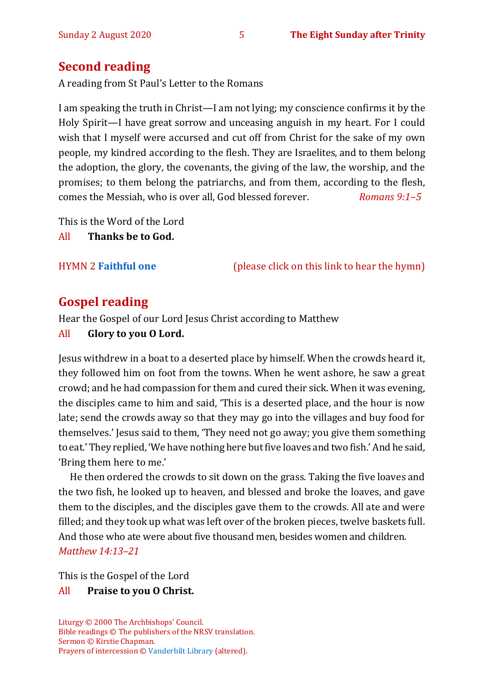# **Second reading**

A reading from St Paul's Letter to the Romans

I am speaking the truth in Christ—I am not lying; my conscience confirms it by the Holy Spirit—I have great sorrow and unceasing anguish in my heart. For I could wish that I myself were accursed and cut off from Christ for the sake of my own people, my kindred according to the flesh. They are Israelites, and to them belong the adoption, the glory, the covenants, the giving of the law, the worship, and the promises; to them belong the patriarchs, and from them, according to the flesh, comes the Messiah, who is over all, God blessed forever. *Romans 9:1–5*

This is the Word of the Lord

All **Thanks be to God.**

HYMN 2 **[Faithful one](https://www.youtube.com/watch?v=HROSwkRwpPI)** (please click on this link to hear the hymn)

# **Gospel reading**

Hear the Gospel of our Lord Jesus Christ according to Matthew

All **Glory to you O Lord.**

Jesus withdrew in a boat to a deserted place by himself. When the crowds heard it, they followed him on foot from the towns. When he went ashore, he saw a great crowd; and he had compassion for them and cured their sick. When it was evening, the disciples came to him and said, 'This is a deserted place, and the hour is now late; send the crowds away so that they may go into the villages and buy food for themselves.' Jesus said to them, 'They need not go away; you give them something to eat.' They replied, 'We have nothing here but five loaves and two fish.' And he said, 'Bring them here to me.'

He then ordered the crowds to sit down on the grass. Taking the five loaves and the two fish, he looked up to heaven, and blessed and broke the loaves, and gave them to the disciples, and the disciples gave them to the crowds. All ate and were filled; and they took up what was left over of the broken pieces, twelve baskets full. And those who ate were about five thousand men, besides women and children. *Matthew 14:13–21*

This is the Gospel of the Lord

### All **Praise to you O Christ.**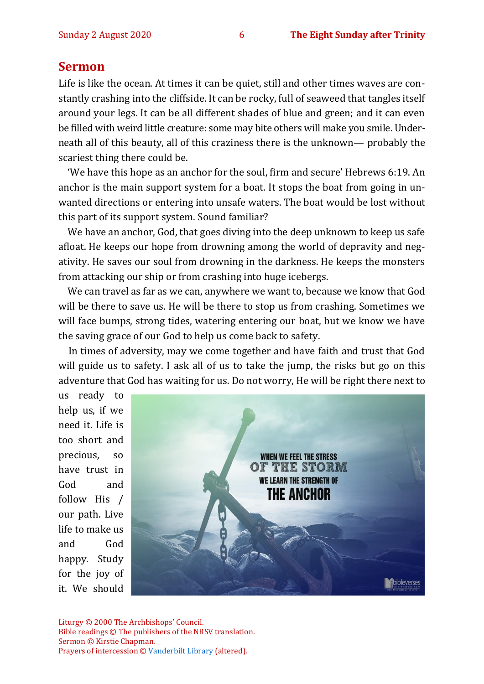#### **Sermon**

Life is like the ocean. At times it can be quiet, still and other times waves are constantly crashing into the cliffside. It can be rocky, full of seaweed that tangles itself around your legs. It can be all different shades of blue and green; and it can even be filled with weird little creature: some may bite others will make you smile. Underneath all of this beauty, all of this craziness there is the unknown— probably the scariest thing there could be.

 'We have this hope as an anchor for the soul, firm and secure' Hebrews 6:19. An anchor is the main support system for a boat. It stops the boat from going in unwanted directions or entering into unsafe waters. The boat would be lost without this part of its support system. Sound familiar?

 We have an anchor, God, that goes diving into the deep unknown to keep us safe afloat. He keeps our hope from drowning among the world of depravity and negativity. He saves our soul from drowning in the darkness. He keeps the monsters from attacking our ship or from crashing into huge icebergs.

 We can travel as far as we can, anywhere we want to, because we know that God will be there to save us. He will be there to stop us from crashing. Sometimes we will face bumps, strong tides, watering entering our boat, but we know we have the saving grace of our God to help us come back to safety.

 In times of adversity, may we come together and have faith and trust that God will guide us to safety. I ask all of us to take the jump, the risks but go on this adventure that God has waiting for us. Do not worry, He will be right there next to

us ready to help us, if we need it. Life is too short and precious, so have trust in God and follow His / our path. Live life to make us and God happy. Study for the joy of it. We should



Liturgy © 2000 The Archbishops' Council. Bible readings © The publishers of the NRSV translation. Sermon © Kirstie Chapman. Prayers of intercession © [Vanderbilt Library](https://lectionary.library.vanderbilt.edu/texts.php?id=153) (altered).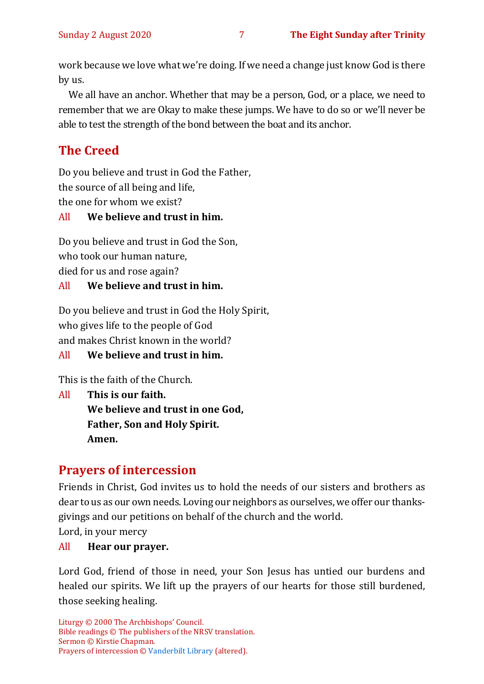work because we love what we're doing. If we need a change just know God is there by us.

 We all have an anchor. Whether that may be a person, God, or a place, we need to remember that we are Okay to make these jumps. We have to do so or we'll never be able to test the strength of the bond between the boat and its anchor.

# **The Creed**

Do you believe and trust in God the Father, the source of all being and life, the one for whom we exist?

### All **We believe and trust in him.**

Do you believe and trust in God the Son, who took our human nature, died for us and rose again?

#### All **We believe and trust in him.**

Do you believe and trust in God the Holy Spirit, who gives life to the people of God and makes Christ known in the world?

All **We believe and trust in him.**

This is the faith of the Church.

All **This is our faith. We believe and trust in one God, Father, Son and Holy Spirit. Amen.**

# **Prayers of intercession**

Friends in Christ, God invites us to hold the needs of our sisters and brothers as dear to us as our own needs. Loving our neighbors as ourselves, we offer our thanksgivings and our petitions on behalf of the church and the world.

Lord, in your mercy

All **Hear our prayer.** 

Lord God, friend of those in need, your Son Jesus has untied our burdens and healed our spirits. We lift up the prayers of our hearts for those still burdened, those seeking healing.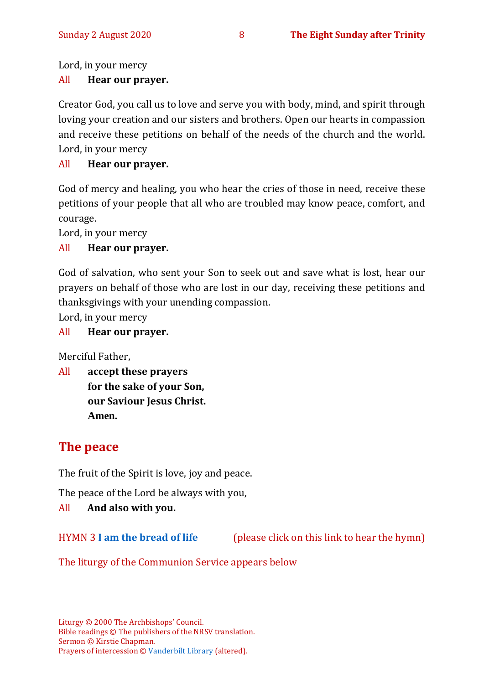Lord, in your mercy

#### All **Hear our prayer.**

Creator God, you call us to love and serve you with body, mind, and spirit through loving your creation and our sisters and brothers. Open our hearts in compassion and receive these petitions on behalf of the needs of the church and the world. Lord, in your mercy

#### All **Hear our prayer.**

God of mercy and healing, you who hear the cries of those in need, receive these petitions of your people that all who are troubled may know peace, comfort, and courage.

Lord, in your mercy

#### All **Hear our prayer.**

God of salvation, who sent your Son to seek out and save what is lost, hear our prayers on behalf of those who are lost in our day, receiving these petitions and thanksgivings with your unending compassion.

Lord, in your mercy

#### All **Hear our prayer.**

Merciful Father,

All **accept these prayers for the sake of your Son, our Saviour Jesus Christ. Amen.**

# **The peace**

The fruit of the Spirit is love, joy and peace.

The peace of the Lord be always with you,

#### All **And also with you.**

HYMN 3 **[I am the bread of life](https://www.youtube.com/watch?v=IvD0XJzOWQ4)** (please click on this link to hear the hymn)

The liturgy of the Communion Service appears below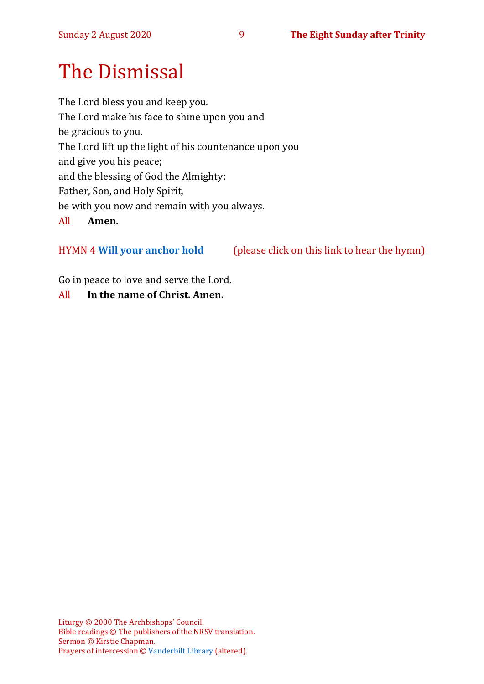# The Dismissal

The Lord bless you and keep you. The Lord make his face to shine upon you and be gracious to you. The Lord lift up the light of his countenance upon you and give you his peace; and the blessing of God the Almighty: Father, Son, and Holy Spirit, be with you now and remain with you always. All **Amen.**

HYMN 4 **[Will your anchor hold](https://www.youtube.com/watch?v=PTfypuXwrMA)** (please click on this link to hear the hymn)

Go in peace to love and serve the Lord.

All **In the name of Christ. Amen.**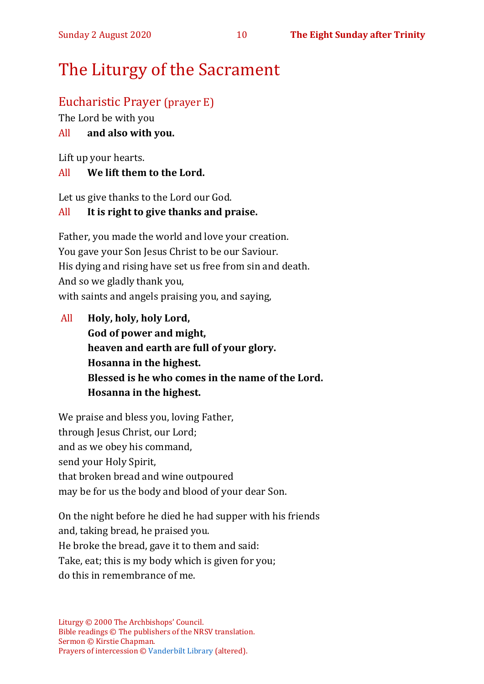# The Liturgy of the Sacrament

# Eucharistic Prayer (prayer E)

The Lord be with you

### All **and also with you.**

Lift up your hearts.

#### All **We lift them to the Lord.**

Let us give thanks to the Lord our God.

### All **It is right to give thanks and praise.**

Father, you made the world and love your creation. You gave your Son Jesus Christ to be our Saviour. His dying and rising have set us free from sin and death. And so we gladly thank you, with saints and angels praising you, and saying,

All **Holy, holy, holy Lord, God of power and might, heaven and earth are full of your glory. Hosanna in the highest. Blessed is he who comes in the name of the Lord. Hosanna in the highest.**

We praise and bless you, loving Father, through Jesus Christ, our Lord; and as we obey his command, send your Holy Spirit, that broken bread and wine outpoured may be for us the body and blood of your dear Son.

On the night before he died he had supper with his friends and, taking bread, he praised you. He broke the bread, gave it to them and said: Take, eat; this is my body which is given for you; do this in remembrance of me.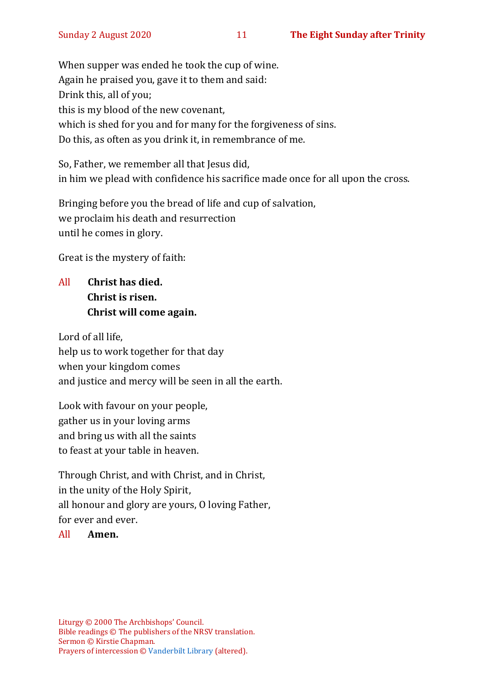When supper was ended he took the cup of wine. Again he praised you, gave it to them and said: Drink this, all of you; this is my blood of the new covenant, which is shed for you and for many for the forgiveness of sins. Do this, as often as you drink it, in remembrance of me.

So, Father, we remember all that Jesus did, in him we plead with confidence his sacrifice made once for all upon the cross.

Bringing before you the bread of life and cup of salvation, we proclaim his death and resurrection until he comes in glory.

Great is the mystery of faith:

All **Christ has died. Christ is risen. Christ will come again.**

Lord of all life, help us to work together for that day when your kingdom comes and justice and mercy will be seen in all the earth.

Look with favour on your people, gather us in your loving arms and bring us with all the saints to feast at your table in heaven.

Through Christ, and with Christ, and in Christ, in the unity of the Holy Spirit, all honour and glory are yours, O loving Father, for ever and ever.

#### All **Amen.**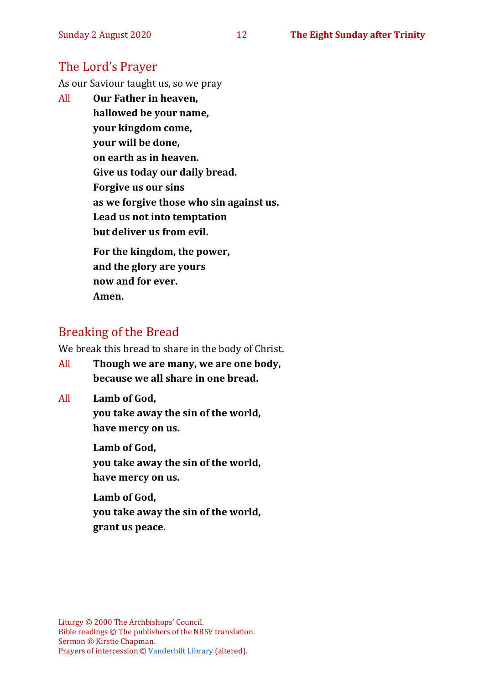# The Lord's Prayer

As our Saviour taught us, so we pray

All **Our Father in heaven, hallowed be your name, your kingdom come, your will be done, on earth as in heaven. Give us today our daily bread. Forgive us our sins as we forgive those who sin against us. Lead us not into temptation but deliver us from evil. For the kingdom, the power, and the glory are yours**

**now and for ever.** 

**Amen.**

# Breaking of the Bread

We break this bread to share in the body of Christ.

All **Though we are many, we are one body, because we all share in one bread.**

All **Lamb of God,**

**you take away the sin of the world, have mercy on us.**

**Lamb of God, you take away the sin of the world, have mercy on us.**

**Lamb of God, you take away the sin of the world, grant us peace.**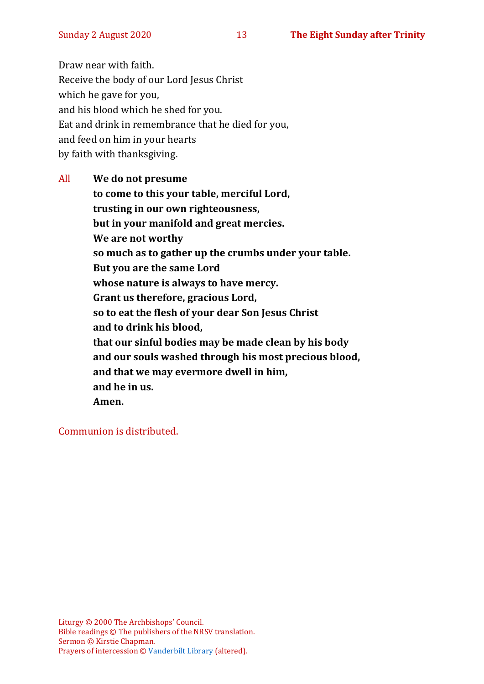Draw near with faith. Receive the body of our Lord Jesus Christ which he gave for you, and his blood which he shed for you. Eat and drink in remembrance that he died for you, and feed on him in your hearts by faith with thanksgiving.

All **We do not presume to come to this your table, merciful Lord, trusting in our own righteousness, but in your manifold and great mercies. We are not worthy so much as to gather up the crumbs under your table. But you are the same Lord whose nature is always to have mercy. Grant us therefore, gracious Lord, so to eat the flesh of your dear Son Jesus Christ and to drink his blood, that our sinful bodies may be made clean by his body and our souls washed through his most precious blood, and that we may evermore dwell in him, and he in us. Amen.**

Communion is distributed.